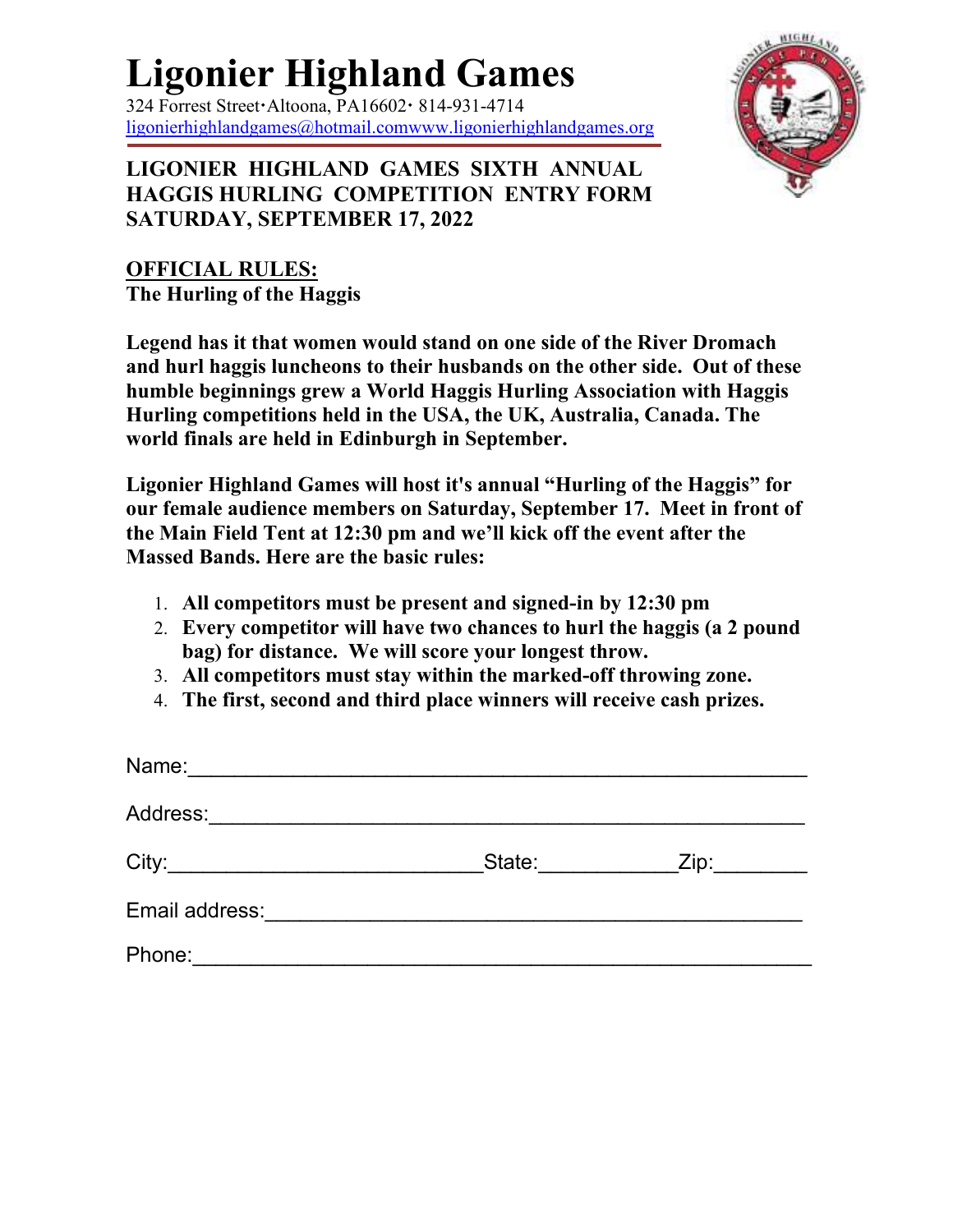## **Ligonier Highland Games**

 $324$  Forrest Street Altoona, PA16602  $\cdot$  814-931-4714 ligonierhighlandgames@hotmail.comwww.ligonierhighlandgames.org



**LIGONIER HIGHLAND GAMES SIXTH ANNUAL HAGGIS HURLING COMPETITION ENTRY FORM SATURDAY, SEPTEMBER 17, 2022** 

## **OFFICIAL RULES: The Hurling of the Haggis**

**Legend has it that women would stand on one side of the River Dromach and hurl haggis luncheons to their husbands on the other side. Out of these humble beginnings grew a World Haggis Hurling Association with Haggis Hurling competitions held in the USA, the UK, Australia, Canada. The world finals are held in Edinburgh in September.**

**Ligonier Highland Games will host it's annual "Hurling of the Haggis" for our female audience members on Saturday, September 17. Meet in front of the Main Field Tent at 12:30 pm and we'll kick off the event after the Massed Bands. Here are the basic rules:**

- 1. **All competitors must be present and signed-in by 12:30 pm**
- 2. **Every competitor will have two chances to hurl the haggis (a 2 pound bag) for distance. We will score your longest throw.**
- 3. **All competitors must stay within the marked-off throwing zone.**
- 4. **The first, second and third place winners will receive cash prizes.**

| Name:          |        |      |
|----------------|--------|------|
| Address:       |        |      |
| City:          | State: | Zip: |
| Email address: |        |      |
| Phone:         |        |      |